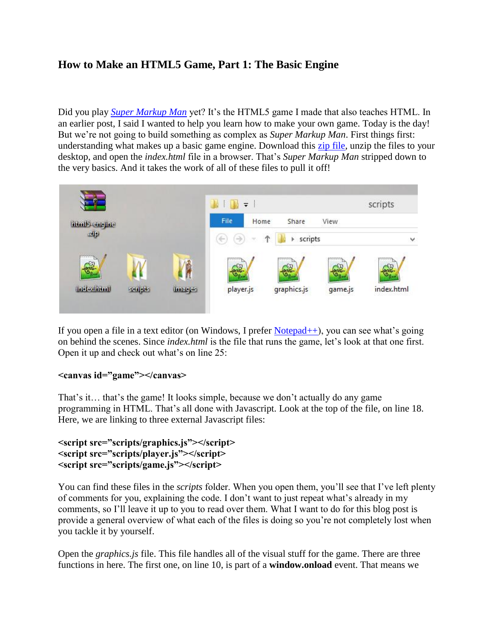# **How to Make an HTML5 Game, Part 1: The Basic Engine**

Did you play *[Super Markup Man](http://markup.roppychop.com/)* yet? It's the HTML5 game I made that also teaches HTML. In an earlier post, I said I wanted to help you learn how to make your own game. Today is the day! But we're not going to build something as complex as *Super Markup Man*. First things first: understanding what makes up a basic game engine. Download this [zip file,](http://www.roppychop.com/files/html5-part1.zip) unzip the files to your desktop, and open the *index.html* file in a browser. That's *Super Markup Man* stripped down to the very basics. And it takes the work of all of these files to pull it off!



If you open a file in a text editor (on Windows, I prefer [Notepad++\)](http://notepad-plus-plus.org/), you can see what's going on behind the scenes. Since *index.html* is the file that runs the game, let's look at that one first. Open it up and check out what's on line 25:

#### **<canvas id="game"></canvas>**

That's it… that's the game! It looks simple, because we don't actually do any game programming in HTML. That's all done with Javascript. Look at the top of the file, on line 18. Here, we are linking to three external Javascript files:

```
<script src="scripts/graphics.js"></script>
<script src="scripts/player.js"></script>
<script src="scripts/game.js"></script>
```
You can find these files in the *scripts* folder. When you open them, you'll see that I've left plenty of comments for you, explaining the code. I don't want to just repeat what's already in my comments, so I'll leave it up to you to read over them. What I want to do for this blog post is provide a general overview of what each of the files is doing so you're not completely lost when you tackle it by yourself.

Open the *graphics.js* file. This file handles all of the visual stuff for the game. There are three functions in here. The first one, on line 10, is part of a **window.onload** event. That means we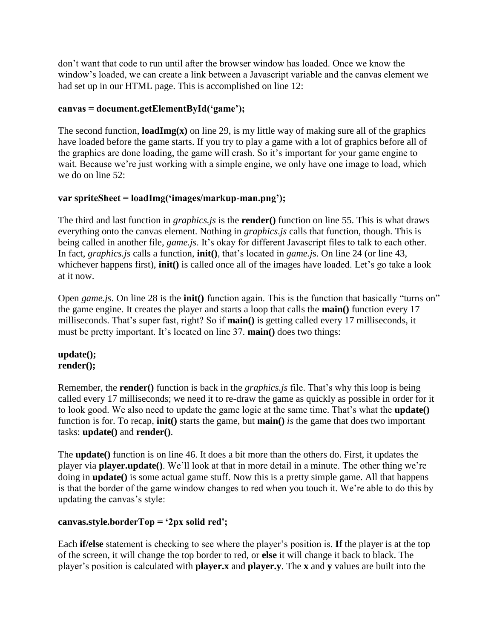don't want that code to run until after the browser window has loaded. Once we know the window's loaded, we can create a link between a Javascript variable and the canvas element we had set up in our HTML page. This is accomplished on line 12:

### **canvas = document.getElementById('game');**

The second function, **loadImg(x)** on line 29, is my little way of making sure all of the graphics have loaded before the game starts. If you try to play a game with a lot of graphics before all of the graphics are done loading, the game will crash. So it's important for your game engine to wait. Because we're just working with a simple engine, we only have one image to load, which we do on line 52:

### **var spriteSheet = loadImg('images/markup-man.png');**

The third and last function in *graphics.js* is the **render()** function on line 55. This is what draws everything onto the canvas element. Nothing in *graphics.js* calls that function, though. This is being called in another file, *game.js*. It's okay for different Javascript files to talk to each other. In fact, *graphics.js* calls a function, **init()**, that's located in *game.j*s. On line 24 (or line 43, whichever happens first), **init**() is called once all of the images have loaded. Let's go take a look at it now.

Open *game.js*. On line 28 is the **init()** function again. This is the function that basically "turns on" the game engine. It creates the player and starts a loop that calls the **main()** function every 17 milliseconds. That's super fast, right? So if **main()** is getting called every 17 milliseconds, it must be pretty important. It's located on line 37. **main()** does two things:

#### **update(); render();**

Remember, the **render()** function is back in the *graphics.js* file. That's why this loop is being called every 17 milliseconds; we need it to re-draw the game as quickly as possible in order for it to look good. We also need to update the game logic at the same time. That's what the **update()**  function is for. To recap, **init()** starts the game, but **main()** *is* the game that does two important tasks: **update()** and **render()**.

The **update()** function is on line 46. It does a bit more than the others do. First, it updates the player via **player.update()**. We'll look at that in more detail in a minute. The other thing we're doing in **update()** is some actual game stuff. Now this is a pretty simple game. All that happens is that the border of the game window changes to red when you touch it. We're able to do this by updating the canvas's style:

## **canvas.style.borderTop = '2px solid red';**

Each **if/else** statement is checking to see where the player's position is. **If** the player is at the top of the screen, it will change the top border to red, or **else** it will change it back to black. The player's position is calculated with **player.x** and **player.y**. The **x** and **y** values are built into the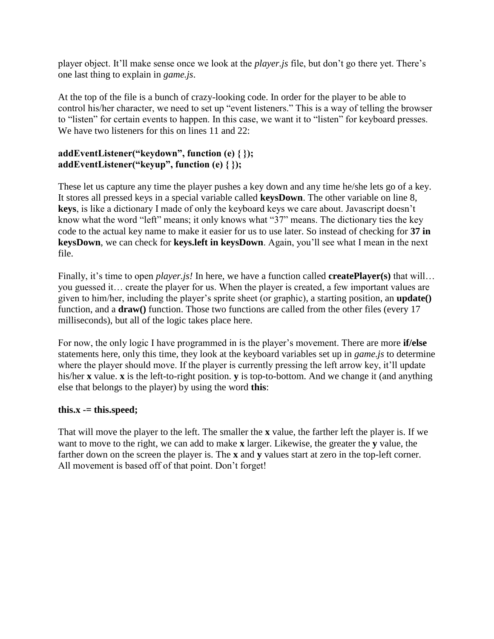player object. It'll make sense once we look at the *player.js* file, but don't go there yet. There's one last thing to explain in *game.js*.

At the top of the file is a bunch of crazy-looking code. In order for the player to be able to control his/her character, we need to set up "event listeners." This is a way of telling the browser to "listen" for certain events to happen. In this case, we want it to "listen" for keyboard presses. We have two listeners for this on lines 11 and 22:

### **addEventListener("keydown", function (e) { }); addEventListener("keyup", function (e) { });**

These let us capture any time the player pushes a key down and any time he/she lets go of a key. It stores all pressed keys in a special variable called **keysDown**. The other variable on line 8, **keys**, is like a dictionary I made of only the keyboard keys we care about. Javascript doesn't know what the word "left" means; it only knows what "37" means. The dictionary ties the key code to the actual key name to make it easier for us to use later. So instead of checking for **37 in keysDown**, we can check for **keys.left in keysDown**. Again, you'll see what I mean in the next file.

Finally, it's time to open *player.js!* In here, we have a function called **createPlayer(s)** that will… you guessed it… create the player for us. When the player is created, a few important values are given to him/her, including the player's sprite sheet (or graphic), a starting position, an **update()**  function, and a **draw()** function. Those two functions are called from the other files (every 17 milliseconds), but all of the logic takes place here.

For now, the only logic I have programmed in is the player's movement. There are more **if/else** statements here, only this time, they look at the keyboard variables set up in *game.js* to determine where the player should move. If the player is currently pressing the left arrow key, it'll update his/her **x** value. **x** is the left-to-right position. **y** is top-to-bottom. And we change it (and anything else that belongs to the player) by using the word **this**:

### **this.x -= this.speed;**

That will move the player to the left. The smaller the **x** value, the farther left the player is. If we want to move to the right, we can add to make **x** larger. Likewise, the greater the **y** value, the farther down on the screen the player is. The **x** and **y** values start at zero in the top-left corner. All movement is based off of that point. Don't forget!